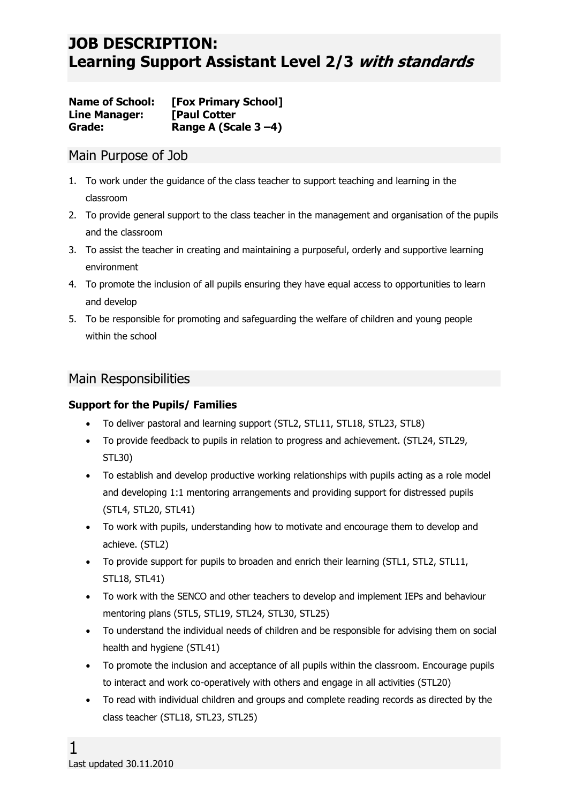**Name of School: [Fox Primary School] Line Manager: [Paul Cotter Grade: Range A (Scale 3 –4)**

### Main Purpose of Job

- 1. To work under the guidance of the class teacher to support teaching and learning in the classroom
- 2. To provide general support to the class teacher in the management and organisation of the pupils and the classroom
- 3. To assist the teacher in creating and maintaining a purposeful, orderly and supportive learning environment
- 4. To promote the inclusion of all pupils ensuring they have equal access to opportunities to learn and develop
- 5. To be responsible for promoting and safeguarding the welfare of children and young people within the school

### Main Responsibilities

#### **Support for the Pupils/ Families**

- To deliver pastoral and learning support (STL2, STL11, STL18, STL23, STL8)
- To provide feedback to pupils in relation to progress and achievement. (STL24, STL29, STL30)
- To establish and develop productive working relationships with pupils acting as a role model and developing 1:1 mentoring arrangements and providing support for distressed pupils (STL4, STL20, STL41)
- To work with pupils, understanding how to motivate and encourage them to develop and achieve. (STL2)
- To provide support for pupils to broaden and enrich their learning (STL1, STL2, STL11, STL18, STL41)
- To work with the SENCO and other teachers to develop and implement IEPs and behaviour mentoring plans (STL5, STL19, STL24, STL30, STL25)
- To understand the individual needs of children and be responsible for advising them on social health and hygiene (STL41)
- To promote the inclusion and acceptance of all pupils within the classroom. Encourage pupils to interact and work co-operatively with others and engage in all activities (STL20)
- To read with individual children and groups and complete reading records as directed by the class teacher (STL18, STL23, STL25)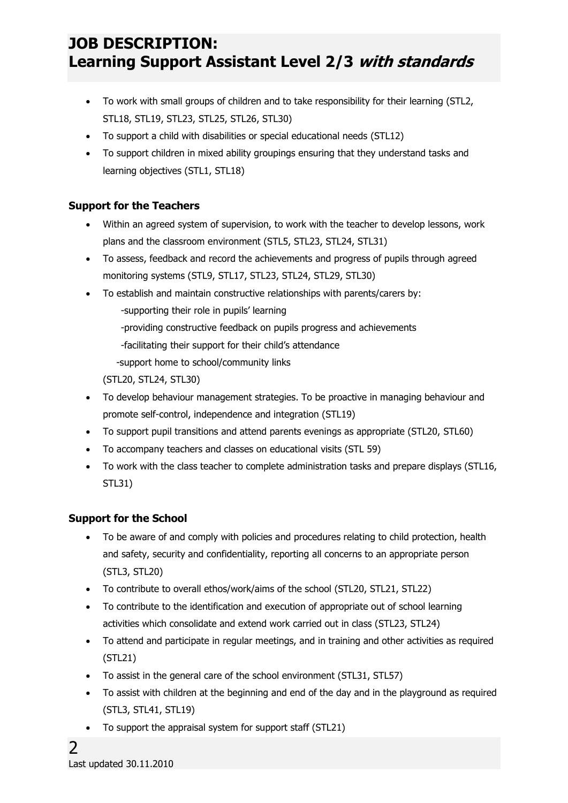- To work with small groups of children and to take responsibility for their learning (STL2, STL18, STL19, STL23, STL25, STL26, STL30)
- To support a child with disabilities or special educational needs (STL12)
- To support children in mixed ability groupings ensuring that they understand tasks and learning objectives (STL1, STL18)

#### **Support for the Teachers**

- Within an agreed system of supervision, to work with the teacher to develop lessons, work plans and the classroom environment (STL5, STL23, STL24, STL31)
- To assess, feedback and record the achievements and progress of pupils through agreed monitoring systems (STL9, STL17, STL23, STL24, STL29, STL30)
- To establish and maintain constructive relationships with parents/carers by:
	- -supporting their role in pupils' learning
	- -providing constructive feedback on pupils progress and achievements
	- -facilitating their support for their child's attendance
	- -support home to school/community links
	- (STL20, STL24, STL30)
- To develop behaviour management strategies. To be proactive in managing behaviour and promote self-control, independence and integration (STL19)
- To support pupil transitions and attend parents evenings as appropriate (STL20, STL60)
- To accompany teachers and classes on educational visits (STL 59)
- To work with the class teacher to complete administration tasks and prepare displays (STL16, STL31)

#### **Support for the School**

- To be aware of and comply with policies and procedures relating to child protection, health and safety, security and confidentiality, reporting all concerns to an appropriate person (STL3, STL20)
- To contribute to overall ethos/work/aims of the school (STL20, STL21, STL22)
- To contribute to the identification and execution of appropriate out of school learning activities which consolidate and extend work carried out in class (STL23, STL24)
- To attend and participate in regular meetings, and in training and other activities as required (STL21)
- To assist in the general care of the school environment (STL31, STL57)
- To assist with children at the beginning and end of the day and in the playground as required (STL3, STL41, STL19)
- To support the appraisal system for support staff (STL21)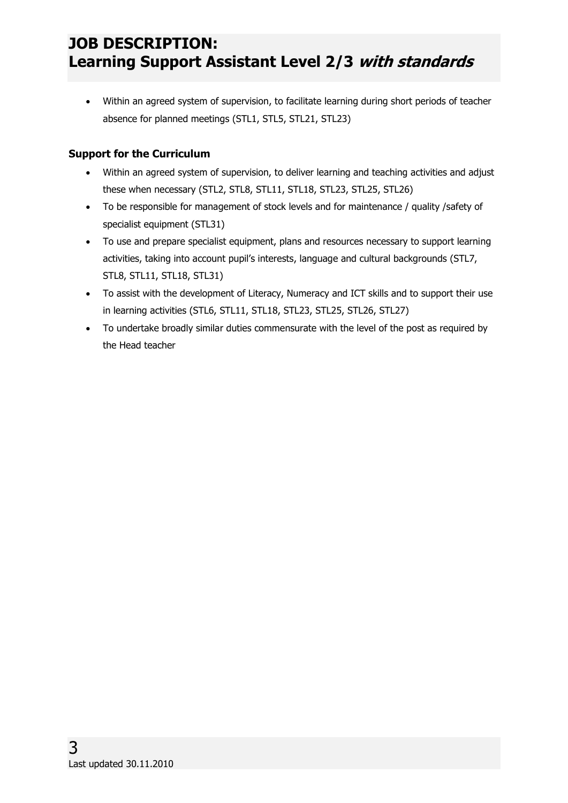Within an agreed system of supervision, to facilitate learning during short periods of teacher absence for planned meetings (STL1, STL5, STL21, STL23)

### **Support for the Curriculum**

- Within an agreed system of supervision, to deliver learning and teaching activities and adjust these when necessary (STL2, STL8, STL11, STL18, STL23, STL25, STL26)
- To be responsible for management of stock levels and for maintenance / quality /safety of specialist equipment (STL31)
- To use and prepare specialist equipment, plans and resources necessary to support learning activities, taking into account pupil's interests, language and cultural backgrounds (STL7, STL8, STL11, STL18, STL31)
- To assist with the development of Literacy, Numeracy and ICT skills and to support their use in learning activities (STL6, STL11, STL18, STL23, STL25, STL26, STL27)
- To undertake broadly similar duties commensurate with the level of the post as required by the Head teacher